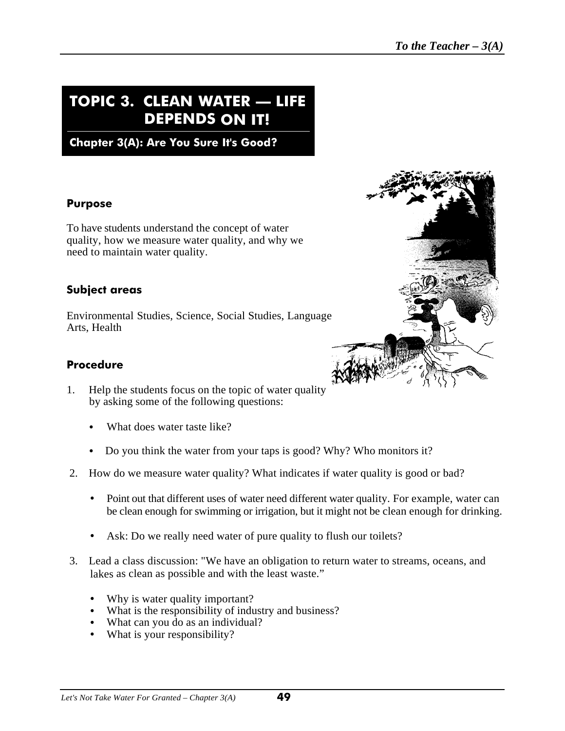## **TOPIC 3. CLEAN WATER — LIFE DEPENDS ON IT!**

**Chapter 3(A): Are You Sure It's Good?**

#### **Purpose**

To have students understand the concept of water quality, how we measure water quality, and why we need to maintain water quality.

#### **Subject areas**

Environmental Studies, Science, Social Studies, Language Arts, Health



#### **Procedure**

- 1. Help the students focus on the topic of water quality by asking some of the following questions:
	- What does water taste like?
	- Do you think the water from your taps is good? Why? Who monitors it?
- 2. How do we measure water quality? What indicates if water quality is good or bad?
	- Point out that different uses of water need different water quality. For example, water can be clean enough for swimming or irrigation, but it might not be clean enough for drinking.
	- Ask: Do we really need water of pure quality to flush our toilets?
- 3. Lead a class discussion: "We have an obligation to return water to streams, oceans, and lakes as clean as possible and with the least waste."
	- Why is water quality important?
	- What is the responsibility of industry and business?
	- What can you do as an individual?
	- What is your responsibility?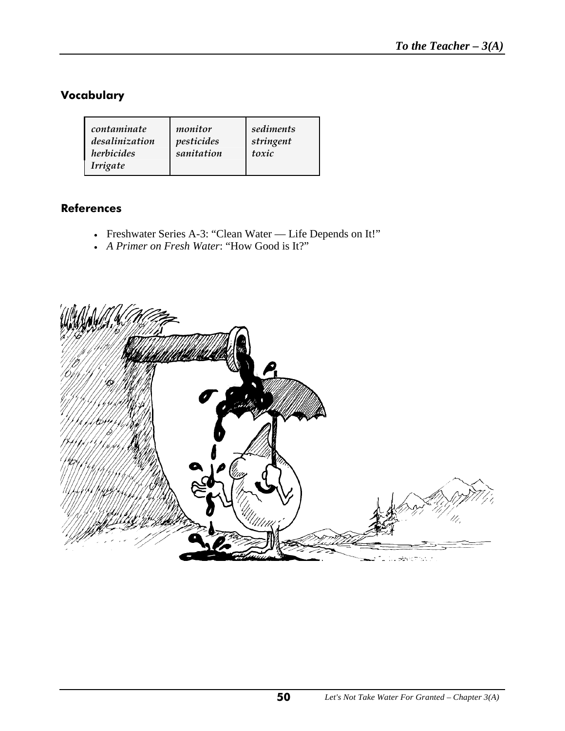## **Vocabulary**

| contaminate    | monitor    | sediments |
|----------------|------------|-----------|
| desalinization | pesticides | stringent |
| herbicides     | sanitation | toxic     |
| Irrigate       |            |           |

#### **References**

- Freshwater Series A-3: "Clean Water Life Depends on It!"
- *A Primer on Fresh Water*: "How Good is It?"

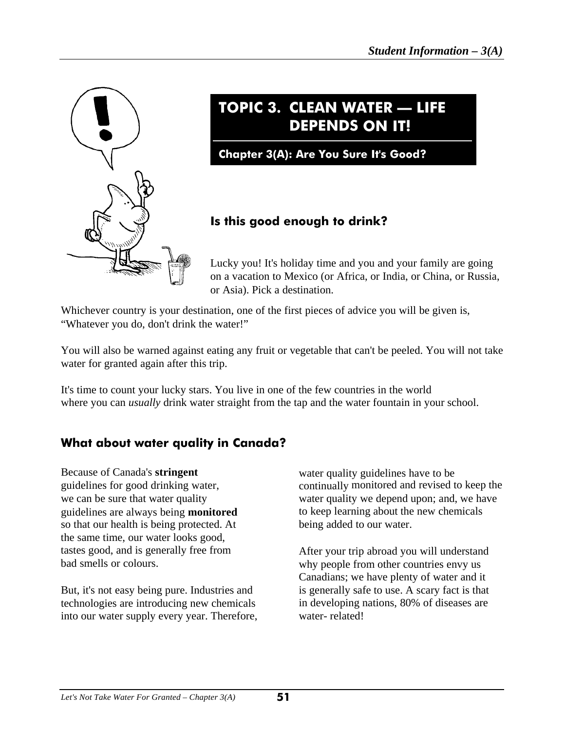

# **TOPIC 3. CLEAN WATER — LIFE DEPENDS ON IT!**

**Chapter 3(A): Are You Sure It's Good?**

## **Is this good enough to drink?**

Lucky you! It's holiday time and you and your family are going on a vacation to Mexico (or Africa, or India, or China, or Russia, or Asia). Pick a destination.

Whichever country is your destination, one of the first pieces of advice you will be given is, "Whatever you do, don't drink the water!"

You will also be warned against eating any fruit or vegetable that can't be peeled. You will not take water for granted again after this trip.

It's time to count your lucky stars. You live in one of the few countries in the world where you can *usually* drink water straight from the tap and the water fountain in your school.

## **What about water quality in Canada?**

Because of Canada's **stringent** guidelines for good drinking water, we can be sure that water quality guidelines are always being **monitored** so that our health is being protected. At the same time, our water looks good, tastes good, and is generally free from bad smells or colours.

But, it's not easy being pure. Industries and technologies are introducing new chemicals into our water supply every year. Therefore, water quality guidelines have to be continually monitored and revised to keep the water quality we depend upon; and, we have to keep learning about the new chemicals being added to our water.

After your trip abroad you will understand why people from other countries envy us Canadians; we have plenty of water and it is generally safe to use. A scary fact is that in developing nations, 80% of diseases are water- related!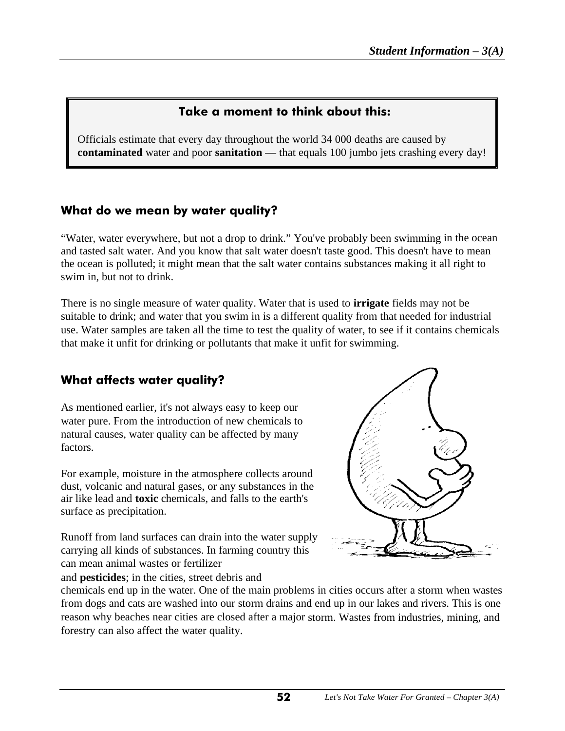## **Take a moment to think about this:**

Officials estimate that every day throughout the world 34 000 deaths are caused by **contaminated** water and poor **sanitation** — that equals 100 jumbo jets crashing every day!

## **What do we mean by water quality?**

Ι

"Water, water everywhere, but not a drop to drink." You've probably been swimming in the ocean and tasted salt water. And you know that salt water doesn't taste good. This doesn't have to mean the ocean is polluted; it might mean that the salt water contains substances making it all right to swim in, but not to drink.

There is no single measure of water quality. Water that is used to **irrigate** fields may not be suitable to drink; and water that you swim in is a different quality from that needed for industrial use. Water samples are taken all the time to test the quality of water, to see if it contains chemicals that make it unfit for drinking or pollutants that make it unfit for swimming.

## **What affects water quality?**

As mentioned earlier, it's not always easy to keep our water pure. From the introduction of new chemicals to natural causes, water quality can be affected by many factors.

For example, moisture in the atmosphere collects around dust, volcanic and natural gases, or any substances in the air like lead and **toxic** chemicals, and falls to the earth's surface as precipitation.

Runoff from land surfaces can drain into the water supply carrying all kinds of substances. In farming country this can mean animal wastes or fertilizer

and **pesticides**; in the cities, street debris and



chemicals end up in the water. One of the main problems in cities occurs after a storm when wastes from dogs and cats are washed into our storm drains and end up in our lakes and rivers. This is one reason why beaches near cities are closed after a major storm. Wastes from industries, mining, and forestry can also affect the water quality.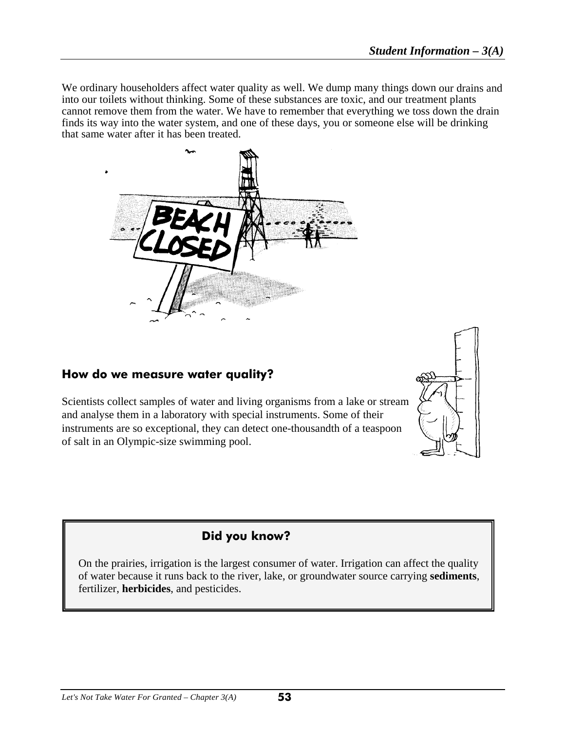We ordinary householders affect water quality as well. We dump many things down our drains and into our toilets without thinking. Some of these substances are toxic, and our treatment plants cannot remove them from the water. We have to remember that everything we toss down the drain finds its way into the water system, and one of these days, you or someone else will be drinking that same water after it has been treated.



#### **How do we measure water quality?**

I

Scientists collect samples of water and living organisms from a lake or stream and analyse them in a laboratory with special instruments. Some of their instruments are so exceptional, they can detect one-thousandth of a teaspoon of salt in an Olympic-size swimming pool.



## **Did you know?**

On the prairies, irrigation is the largest consumer of water. Irrigation can affect the quality of water because it runs back to the river, lake, or groundwater source carrying **sediments**, fertilizer, **herbicides**, and pesticides.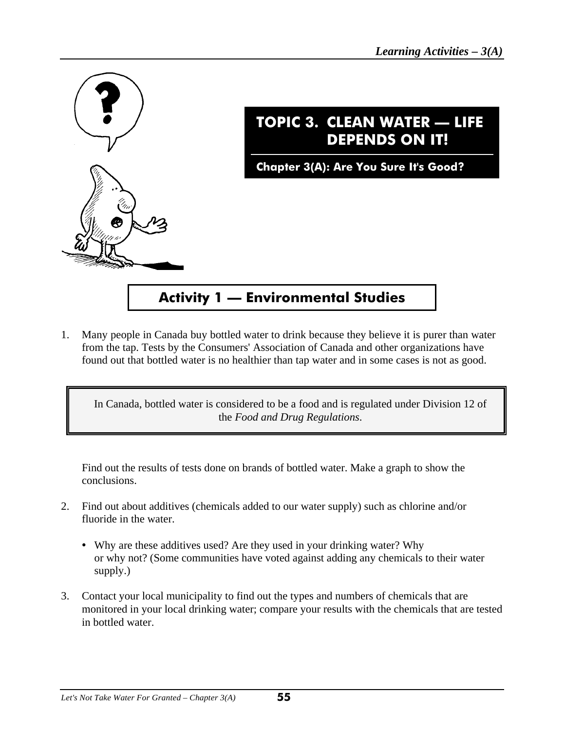

1. Many people in Canada buy bottled water to drink because they believe it is purer than water from the tap. Tests by the Consumers' Association of Canada and other organizations have found out that bottled water is no healthier than tap water and in some cases is not as good.

In Canada, bottled water is considered to be a food and is regulated under Division 12 of the *Food and Drug Regulations*.

Find out the results of tests done on brands of bottled water. Make a graph to show the conclusions.

- 2. Find out about additives (chemicals added to our water supply) such as chlorine and/or fluoride in the water.
	- Why are these additives used? Are they used in your drinking water? Why or why not? (Some communities have voted against adding any chemicals to their water supply.)
- 3. Contact your local municipality to find out the types and numbers of chemicals that are monitored in your local drinking water; compare your results with the chemicals that are tested in bottled water.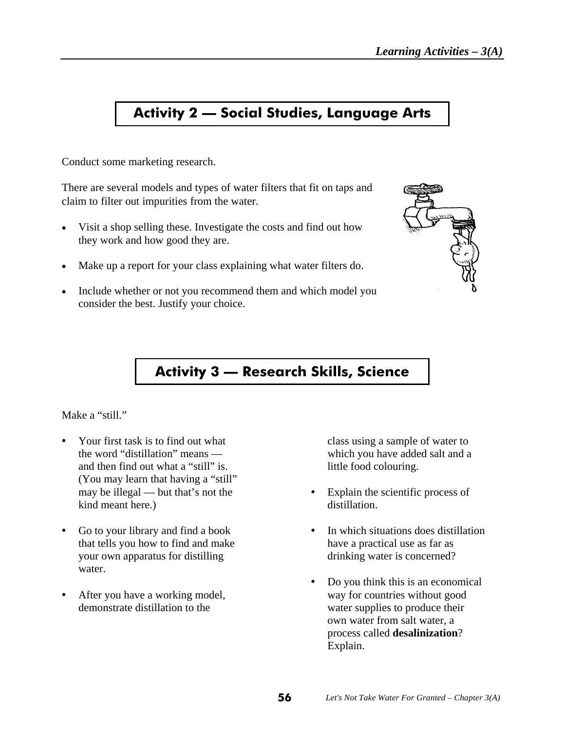## **Activity 2 — Social Studies, Language Arts**

Conduct some marketing research.

There are several models and types of water filters that fit on taps and claim to filter out impurities from the water.

- Visit a shop selling these. Investigate the costs and find out how they work and how good they are.
- Make up a report for your class explaining what water filters do.
- Include whether or not you recommend them and which model you consider the best. Justify your choice.



## **Activity 3 –– Research Skills, Science**

#### Make a "still."

- Your first task is to find out what class using a sample of water to the word "distillation" means — which you have added salt and a and then find out what a "still" is. little food colouring. (You may learn that having a "still" kind meant here.) distillation.
- that tells you how to find and make have a practical use as far as your own apparatus for distilling drinking water is concerned? water.
- 

- may be illegal but that's not the  $\bullet$  Explain the scientific process of
- Go to your library and find a book **C** In which situations does distillation
- Do you think this is an economical After you have a working model, way for countries without good demonstrate distillation to the water supplies to produce their own water from salt water, a process called **desalinization**? Explain.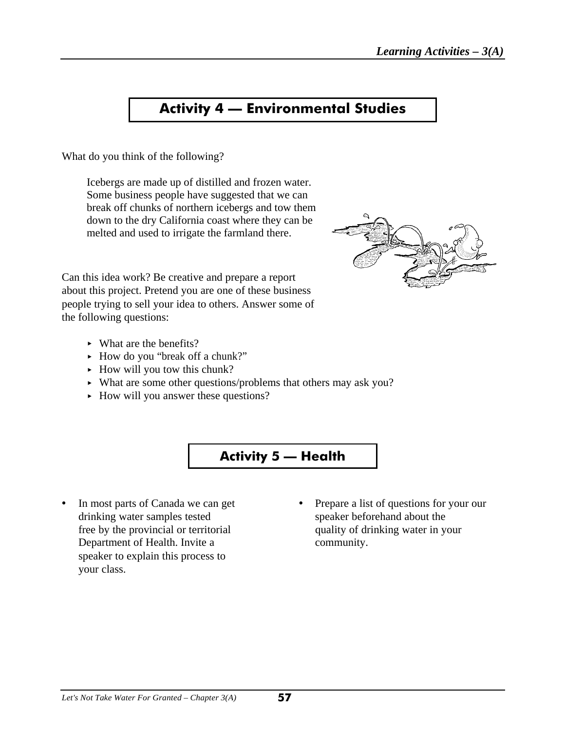## **Activity 4 — Environmental Studies**

What do you think of the following?

Icebergs are made up of distilled and frozen water. Some business people have suggested that we can break off chunks of northern icebergs and tow them down to the dry California coast where they can be melted and used to irrigate the farmland there.



Can this idea work? Be creative and prepare a report about this project. Pretend you are one of these business people trying to sell your idea to others. Answer some of the following questions:

- $\blacktriangleright$  What are the benefits?
- ► How do you "break off a chunk?"
- $\blacktriangleright$  How will you tow this chunk?
- < What are some other questions/problems that others may ask you?
- How will you answer these questions?



- drinking water samples tested speaker beforehand about the Department of Health. Invite a community. speaker to explain this process to your class.
- In most parts of Canada we can get Prepare a list of questions for your our free by the provincial or territorial quality of drinking water in your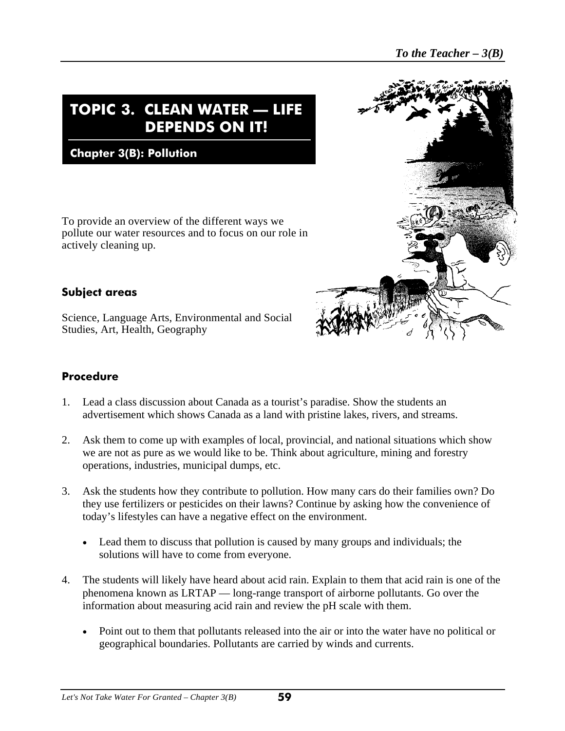# **TOPIC 3. CLEAN WATER — LIFE DEPENDS ON IT!**

**Chapter 3(B): Pollution** 

To provide an overview of the different ways we pollute our water resources and to focus on our role in actively cleaning up.

#### **Subject areas**

I

Science, Language Arts, Environmental and Social Studies, Art, Health, Geography

#### **Procedure**

- 1. Lead a class discussion about Canada as a tourist's paradise. Show the students an advertisement which shows Canada as a land with pristine lakes, rivers, and streams.
- 2. Ask them to come up with examples of local, provincial, and national situations which show we are not as pure as we would like to be. Think about agriculture, mining and forestry operations, industries, municipal dumps, etc.
- 3. Ask the students how they contribute to pollution. How many cars do their families own? Do they use fertilizers or pesticides on their lawns? Continue by asking how the convenience of today's lifestyles can have a negative effect on the environment.
	- Lead them to discuss that pollution is caused by many groups and individuals; the solutions will have to come from everyone.
- 4. The students will likely have heard about acid rain. Explain to them that acid rain is one of the phenomena known as LRTAP — long-range transport of airborne pollutants. Go over the information about measuring acid rain and review the pH scale with them.
	- Point out to them that pollutants released into the air or into the water have no political or geographical boundaries. Pollutants are carried by winds and currents.

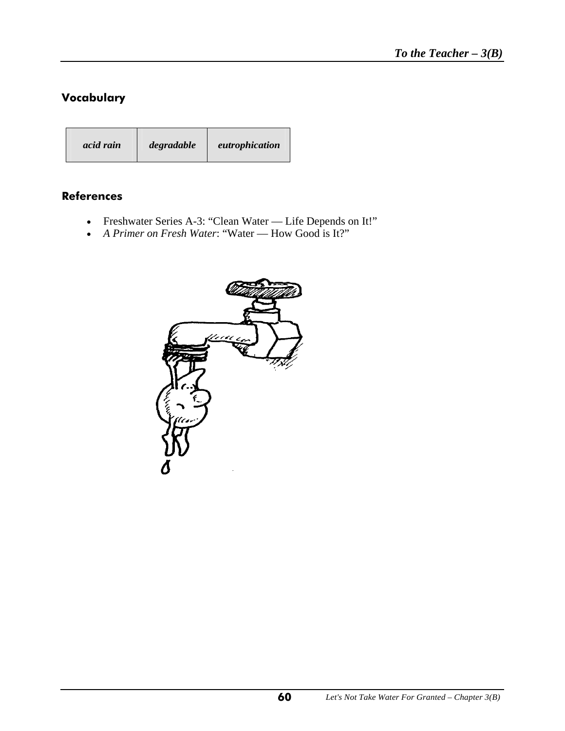## **Vocabulary**

I

| acid rain | degradable | eutrophication |
|-----------|------------|----------------|
|-----------|------------|----------------|

#### **References**

- Freshwater Series A-3: "Clean Water Life Depends on It!"
- *A Primer on Fresh Water*: "Water How Good is It?"

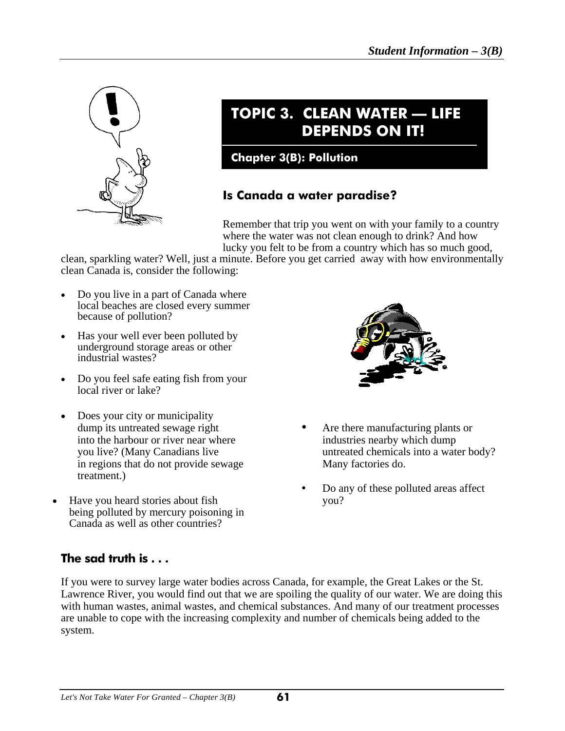

Ι

# **TOPIC 3. CLEAN WATER — LIFE DEPENDS ON IT!**

### **Chapter 3(B): Pollution**

## **Is Canada a water paradise?**

Remember that trip you went on with your family to a country where the water was not clean enough to drink? And how lucky you felt to be from a country which has so much good,

clean, sparkling water? Well, just a minute. Before you get carried away with how environmentally clean Canada is, consider the following:

- Do you live in a part of Canada where local beaches are closed every summer because of pollution?
- Has your well ever been polluted by underground storage areas or other industrial wastes?
- Do you feel safe eating fish from your local river or lake?
- Does your city or municipality into the harbour or river near where industries nearby which dump in regions that do not provide sewage Many factories do. treatment.)
- Have you heard stories about fish you? being polluted by mercury poisoning in Canada as well as other countries?



- dump its untreated sewage right **C** Are there manufacturing plants or you live? (Many Canadians live untreated chemicals into a water body?
	- Do any of these polluted areas affect

## **The sad truth is . . .**

If you were to survey large water bodies across Canada, for example, the Great Lakes or the St. Lawrence River, you would find out that we are spoiling the quality of our water. We are doing this with human wastes, animal wastes, and chemical substances. And many of our treatment processes are unable to cope with the increasing complexity and number of chemicals being added to the system.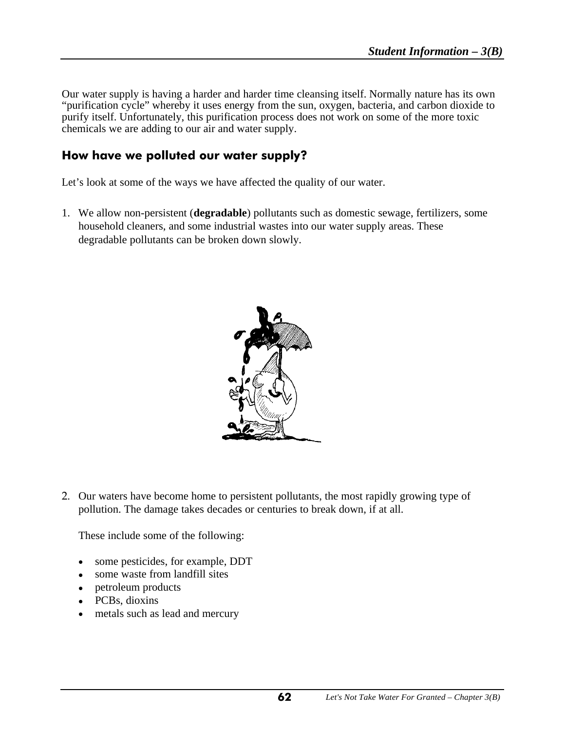Our water supply is having a harder and harder time cleansing itself. Normally nature has its own "purification cycle" whereby it uses energy from the sun, oxygen, bacteria, and carbon dioxide to purify itself. Unfortunately, this purification process does not work on some of the more toxic chemicals we are adding to our air and water supply.

#### **How have we polluted our water supply?**

Let's look at some of the ways we have affected the quality of our water.

1. We allow non-persistent (**degradable**) pollutants such as domestic sewage, fertilizers, some household cleaners, and some industrial wastes into our water supply areas. These degradable pollutants can be broken down slowly.



2. Our waters have become home to persistent pollutants, the most rapidly growing type of pollution. The damage takes decades or centuries to break down, if at all.

These include some of the following:

- some pesticides, for example, DDT
- some waste from landfill sites
- petroleum products
- PCBs, dioxins
- metals such as lead and mercury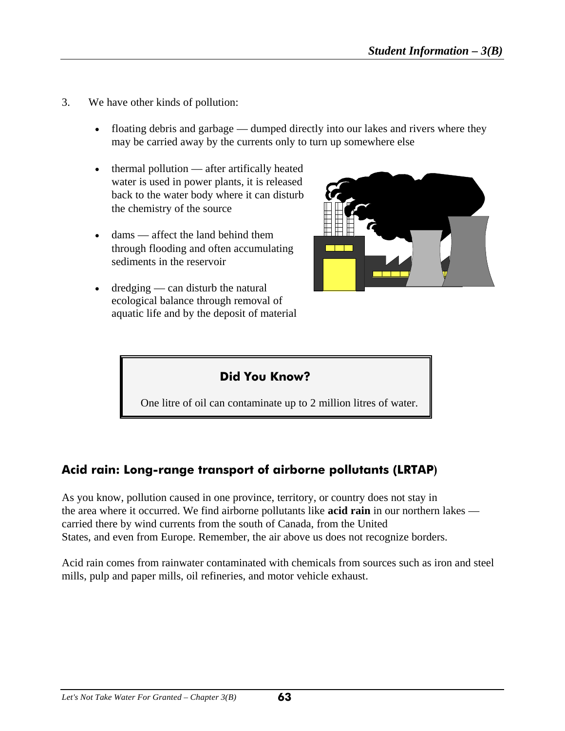3. We have other kinds of pollution:

I

- floating debris and garbage dumped directly into our lakes and rivers where they may be carried away by the currents only to turn up somewhere else
- thermal pollution after artifically heated water is used in power plants, it is released back to the water body where it can disturb the chemistry of the source
- $dams =$  affect the land behind them through flooding and often accumulating sediments in the reservoir
- $d$ redging can disturb the natural ecological balance through removal of aquatic life and by the deposit of material



## **Did You Know?**

One litre of oil can contaminate up to 2 million litres of water.

## **Acid rain: Long-range transport of airborne pollutants (LRTAP)**

As you know, pollution caused in one province, territory, or country does not stay in the area where it occurred. We find airborne pollutants like **acid rain** in our northern lakes carried there by wind currents from the south of Canada, from the United States, and even from Europe. Remember, the air above us does not recognize borders.

Acid rain comes from rainwater contaminated with chemicals from sources such as iron and steel mills, pulp and paper mills, oil refineries, and motor vehicle exhaust.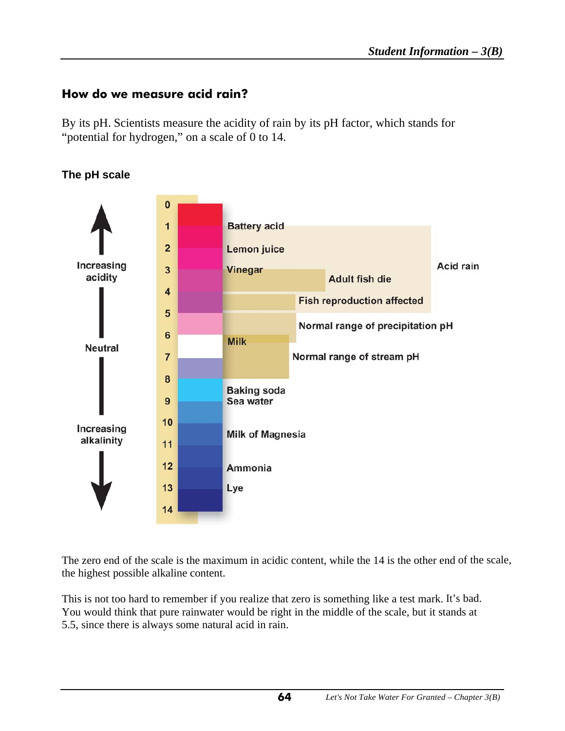## **How do we measure acid rain?**

By its pH. Scientists measure the acidity of rain by its pH factor, which stands for "potential for hydrogen," on a scale of 0 to 14.



#### **The pH scale**

The zero end of the scale is the maximum in acidic content, while the 14 is the other end of the scale, the highest possible alkaline content.

This is not too hard to remember if you realize that zero is something like a test mark. It's bad. You would think that pure rainwater would be right in the middle of the scale, but it stands at 5.5, since there is always some natural acid in rain.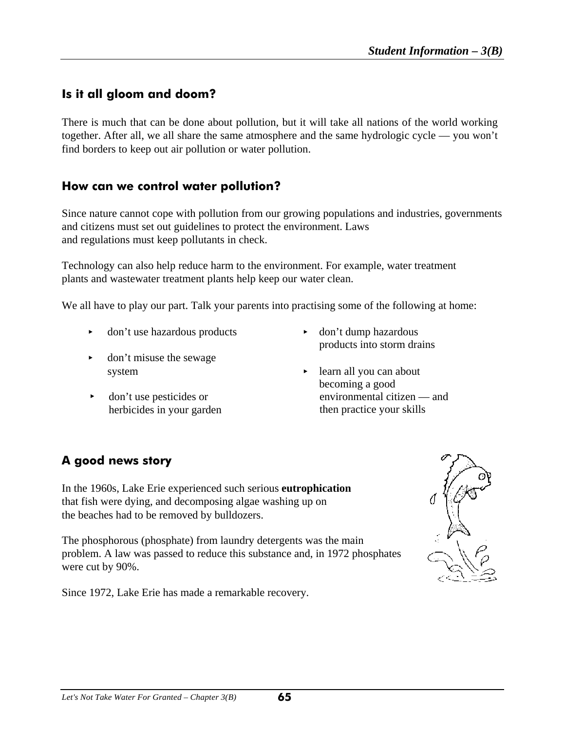## **Is it all gloom and doom?**

I

There is much that can be done about pollution, but it will take all nations of the world working together. After all, we all share the same atmosphere and the same hydrologic cycle — you won't find borders to keep out air pollution or water pollution.

#### **How can we control water pollution?**

Since nature cannot cope with pollution from our growing populations and industries, governments and citizens must set out guidelines to protect the environment. Laws and regulations must keep pollutants in check.

Technology can also help reduce harm to the environment. For example, water treatment plants and wastewater treatment plants help keep our water clean.

We all have to play our part. Talk your parents into practising some of the following at home:

- don't use hazardous products behavior to don't dump hazardous
- don't misuse the sewage
- $\rightarrow$  don't use pesticides or herbicides in your garden
- products into storm drains
- system being been been been all you can about becoming a good environmental citizen — and then practice your skills

## **A good news story**

In the 1960s, Lake Erie experienced such serious **eutrophication** that fish were dying, and decomposing algae washing up on the beaches had to be removed by bulldozers.

The phosphorous (phosphate) from laundry detergents was the main problem. A law was passed to reduce this substance and, in 1972 phosphates were cut by 90%.

Since 1972, Lake Erie has made a remarkable recovery.

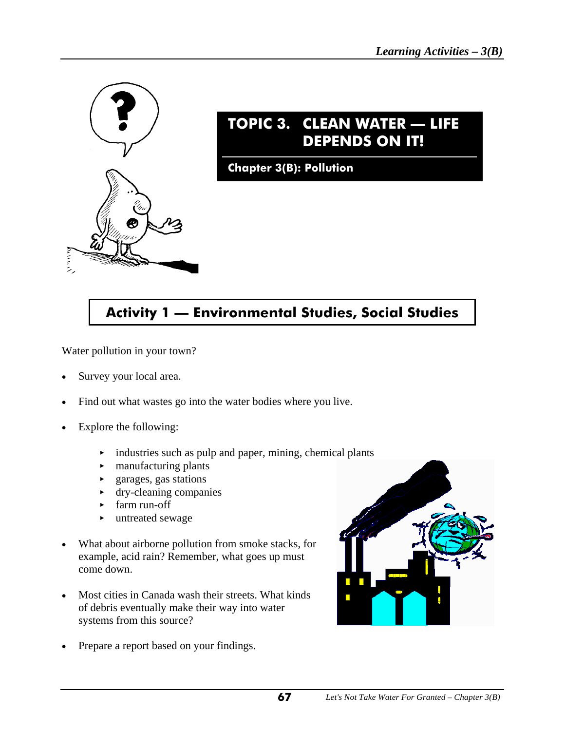

# **TOPIC 3. CLEAN WATER — LIFE DEPENDS ON IT!**

**Chapter 3(B): Pollution**

# **Activity 1 — Environmental Studies, Social Studies**

Water pollution in your town?

- Survey your local area.
- Find out what wastes go into the water bodies where you live.
- Explore the following:
	- $\rightarrow$  industries such as pulp and paper, mining, chemical plants
	- manufacturing plants
	- < garages, gas stations
	- $\rightarrow$  dry-cleaning companies
	- < farm run-off
	- $\blacktriangleright$  untreated sewage
- What about airborne pollution from smoke stacks, for example, acid rain? Remember, what goes up must come down.
- Most cities in Canada wash their streets. What kinds of debris eventually make their way into water systems from this source?
- Prepare a report based on your findings.

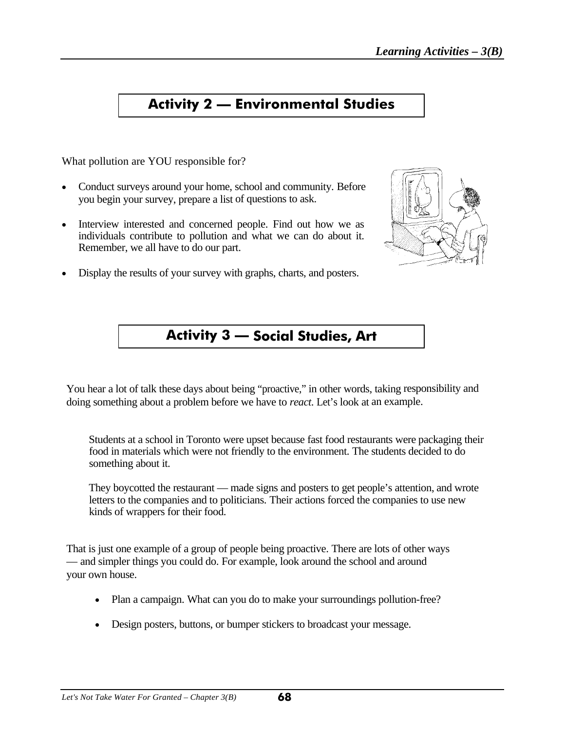## **Activity 2 — Environmental Studies**

What pollution are YOU responsible for?

- Conduct surveys around your home, school and community. Before you begin your survey, prepare a list of questions to ask.
- Interview interested and concerned people. Find out how we as individuals contribute to pollution and what we can do about it. Remember, we all have to do our part.
- Display the results of your survey with graphs, charts, and posters.



## **Activity 3 — Social Studies, Art**

You hear a lot of talk these days about being "proactive," in other words, taking responsibility and doing something about a problem before we have to *react*. Let's look at an example.

Students at a school in Toronto were upset because fast food restaurants were packaging their food in materials which were not friendly to the environment. The students decided to do something about it.

They boycotted the restaurant — made signs and posters to get people's attention, and wrote letters to the companies and to politicians. Their actions forced the companies to use new kinds of wrappers for their food.

That is just one example of a group of people being proactive. There are lots of other ways — and simpler things you could do. For example, look around the school and around your own house.

- Plan a campaign. What can you do to make your surroundings pollution-free?
- Design posters, buttons, or bumper stickers to broadcast your message.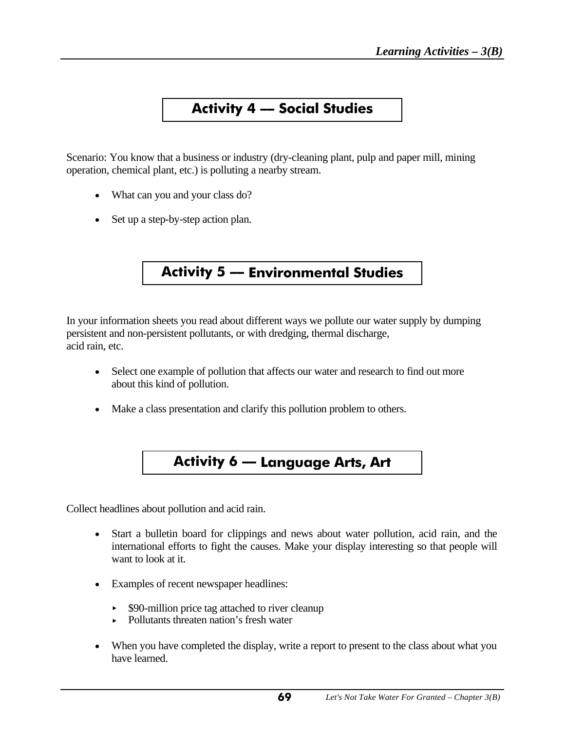## **Activity 4 –– Social Studies**

Scenario: You know that a business or industry (dry-cleaning plant, pulp and paper mill, mining operation, chemical plant, etc.) is polluting a nearby stream.

- What can you and your class do?
- Set up a step-by-step action plan.

## **Activity 5 –– Environmental Studies**

In your information sheets you read about different ways we pollute our water supply by dumping persistent and non-persistent pollutants, or with dredging, thermal discharge, acid rain, etc.

- Select one example of pollution that affects our water and research to find out more about this kind of pollution.
- Make a class presentation and clarify this pollution problem to others.

## **Activity 6 –– Language Arts, Art**

Collect headlines about pollution and acid rain.

- Start a bulletin board for clippings and news about water pollution, acid rain, and the international efforts to fight the causes. Make your display interesting so that people will want to look at it.
- Examples of recent newspaper headlines:
	- \$90-million price tag attached to river cleanup
	- ► Pollutants threaten nation's fresh water
- When you have completed the display, write a report to present to the class about what you have learned.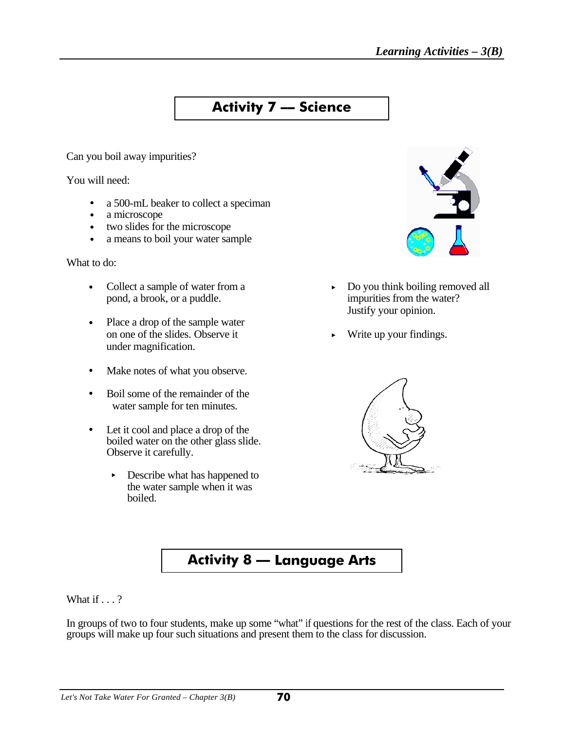## **Activity 7 –– Science**

Can you boil away impurities?

You will need:

- a 500-mL beaker to collect a speciman
- $\bullet$  a microscope
- two slides for the microscope
- a means to boil your water sample

What to do:

- pond, a brook, or a puddle.
- Place a drop of the sample water on one of the slides. Observe it  $\longrightarrow$  Write up your findings. under magnification.
- Make notes of what you observe.
- Boil some of the remainder of the water sample for ten minutes.
- Let it cool and place a drop of the boiled water on the other glass slide. Observe it carefully.
	- $\triangleright$  Describe what has happened to the water sample when it was boiled.



- Collect a sample of water from a<br>pond, a brook, or a puddle.<br>pond a impurities from the water? Justify your opinion.
	-



## **Activity 8 — Language Arts**

What if  $\ldots$  ?

In groups of two to four students, make up some "what" if questions for the rest of the class. Each of your groups will make up four such situations and present them to the class for discussion.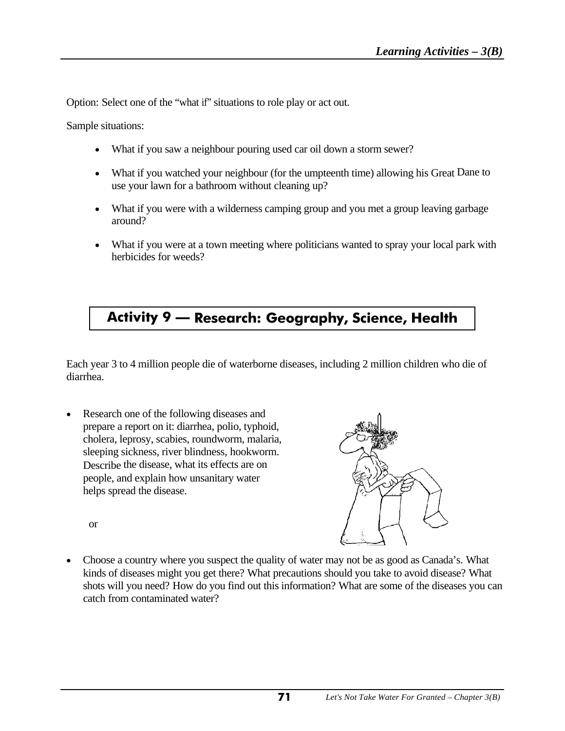Option: Select one of the "what if" situations to role play or act out.

Sample situations:

- What if you saw a neighbour pouring used car oil down a storm sewer?
- What if you watched your neighbour (for the umpteenth time) allowing his Great Dane to use your lawn for a bathroom without cleaning up?
- What if you were with a wilderness camping group and you met a group leaving garbage around?
- What if you were at a town meeting where politicians wanted to spray your local park with herbicides for weeds?

# **Activity 9 –– Research: Geography, Science, Health**

Each year 3 to 4 million people die of waterborne diseases, including 2 million children who die of diarrhea.

• Research one of the following diseases and prepare a report on it: diarrhea, polio, typhoid, cholera, leprosy, scabies, roundworm, malaria, sleeping sickness, river blindness, hookworm. Describe the disease, what its effects are on people, and explain how unsanitary water helps spread the disease.



or

• Choose a country where you suspect the quality of water may not be as good as Canada's. What kinds of diseases might you get there? What precautions should you take to avoid disease? What shots will you need? How do you find out this information? What are some of the diseases you can catch from contaminated water?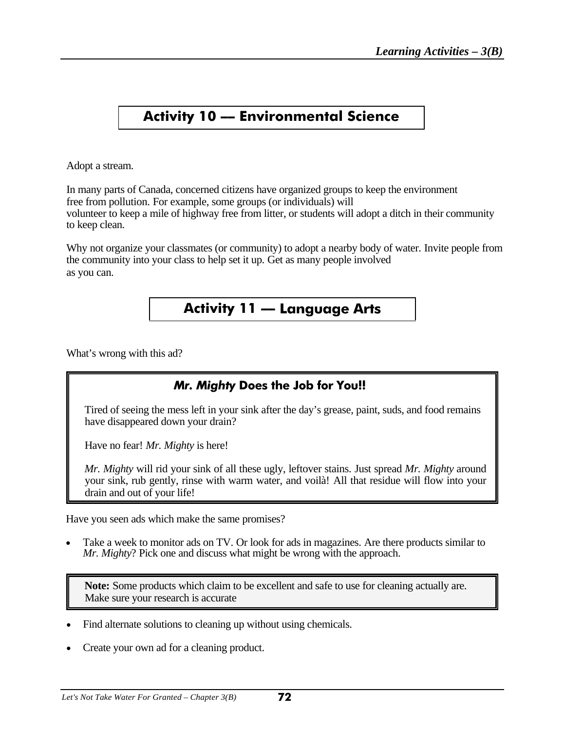# **Activity 10 –– Environmental Science**

Adopt a stream.

In many parts of Canada, concerned citizens have organized groups to keep the environment free from pollution. For example, some groups (or individuals) will volunteer to keep a mile of highway free from litter, or students will adopt a ditch in their community to keep clean.

Why not organize your classmates (or community) to adopt a nearby body of water. Invite people from the community into your class to help set it up. Get as many people involved as you can.

## **Activity 11 –– Language Arts**

What's wrong with this ad?

## *Mr. Mighty* **Does the Job for You!!**

Tired of seeing the mess left in your sink after the day's grease, paint, suds, and food remains have disappeared down your drain?

Have no fear! *Mr. Mighty* is here!

*Mr. Mighty* will rid your sink of all these ugly, leftover stains. Just spread *Mr. Mighty* around your sink, rub gently, rinse with warm water, and voilà! All that residue will flow into your drain and out of your life!

Have you seen ads which make the same promises?

Take a week to monitor ads on TV. Or look for ads in magazines. Are there products similar to *Mr. Mighty*? Pick one and discuss what might be wrong with the approach.

**Note:** Some products which claim to be excellent and safe to use for cleaning actually are. Make sure your research is accurate

- Find alternate solutions to cleaning up without using chemicals.
- Create your own ad for a cleaning product.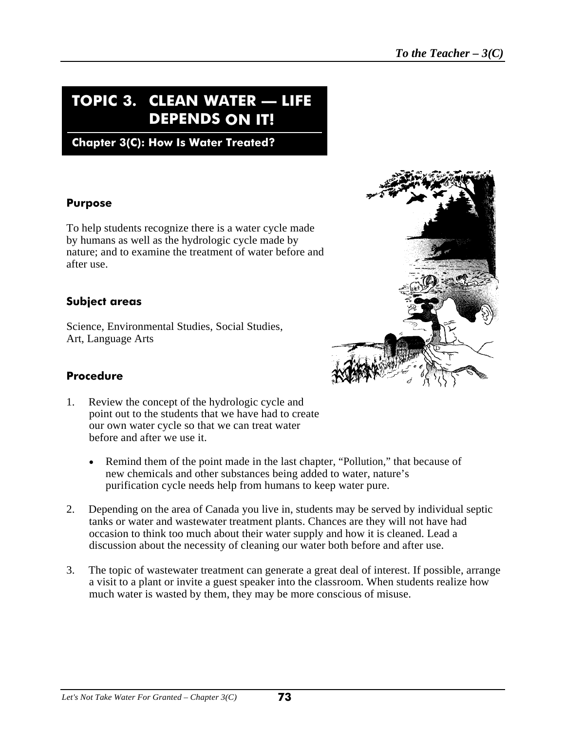## **TOPIC 3. CLEAN WATER — LIFE DEPENDS ON IT!**

**Chapter 3(C): How Is Water Treated?**

#### **Purpose**

To help students recognize there is a water cycle made by humans as well as the hydrologic cycle made by nature; and to examine the treatment of water before and after use.

#### **Subject areas**

Science, Environmental Studies, Social Studies, Art, Language Arts



#### **Procedure**

- 1. Review the concept of the hydrologic cycle and point out to the students that we have had to create our own water cycle so that we can treat water before and after we use it.
	- Remind them of the point made in the last chapter, "Pollution," that because of new chemicals and other substances being added to water, nature's purification cycle needs help from humans to keep water pure.
- 2. Depending on the area of Canada you live in, students may be served by individual septic tanks or water and wastewater treatment plants. Chances are they will not have had occasion to think too much about their water supply and how it is cleaned. Lead a discussion about the necessity of cleaning our water both before and after use.
- 3. The topic of wastewater treatment can generate a great deal of interest. If possible, arrange a visit to a plant or invite a guest speaker into the classroom. When students realize how much water is wasted by them, they may be more conscious of misuse.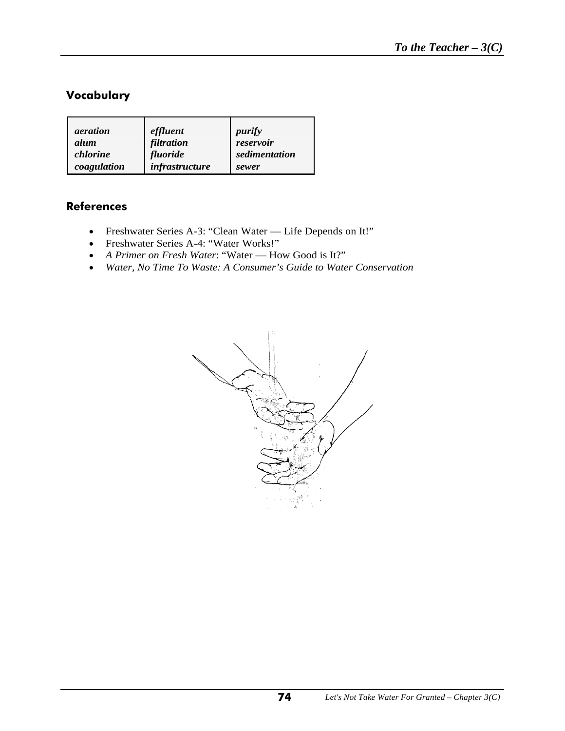### **Vocabulary**

| <i>aeration</i> | effluent       | purify        |
|-----------------|----------------|---------------|
| alum            | filtration     | reservoir     |
| chlorine        | fluoride       | sedimentation |
| coagulation     | infrastructure | sewer         |

#### **References**

- Freshwater Series A-3: "Clean Water Life Depends on It!"
- Freshwater Series A-4: "Water Works!"
- *<sup>A</sup> Primer on Fresh Water*: "Water How Good is It?"
- *Water, No Time To Waste: A Consumer's Guide to Water Conservation*

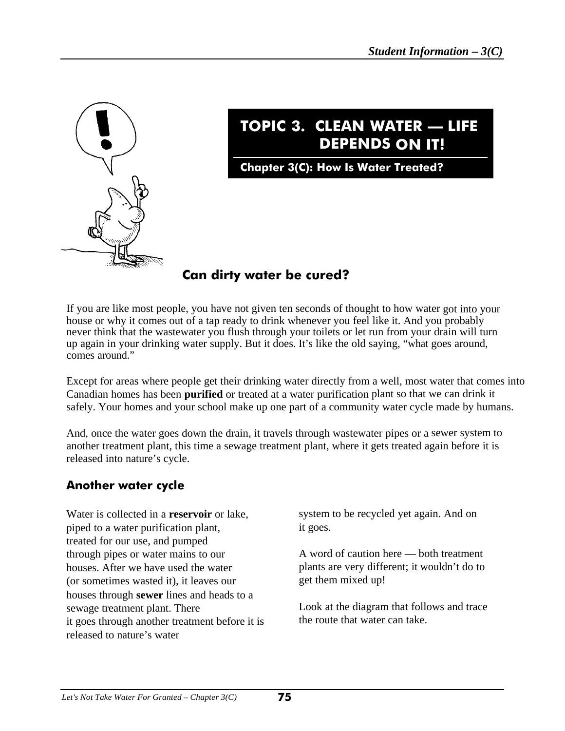

# **TOPIC 3. CLEAN WATER — LIFE DEPENDS ON IT!**

**Chapter 3(C): How Is Water Treated?**

## **Can dirty water be cured?**

If you are like most people, you have not given ten seconds of thought to how water got into your house or why it comes out of a tap ready to drink whenever you feel like it. And you probably never think that the wastewater you flush through your toilets or let run from your drain will turn up again in your drinking water supply. But it does. It's like the old saying, "what goes around, comes around."

Except for areas where people get their drinking water directly from a well, most water that comes into Canadian homes has been **purified** or treated at a water purification plant so that we can drink it safely. Your homes and your school make up one part of a community water cycle made by humans.

And, once the water goes down the drain, it travels through wastewater pipes or a sewer system to another treatment plant, this time a sewage treatment plant, where it gets treated again before it is released into nature's cycle.

## **Another water cycle**

Water is collected in a **reservoir** or lake, piped to a water purification plant, treated for our use, and pumped through pipes or water mains to our houses. After we have used the water (or sometimes wasted it), it leaves our houses through **sewer** lines and heads to a sewage treatment plant. There it goes through another treatment before it is released to nature's water

system to be recycled yet again. And on it goes.

A word of caution here — both treatment plants are very different; it wouldn't do to get them mixed up!

Look at the diagram that follows and trace the route that water can take.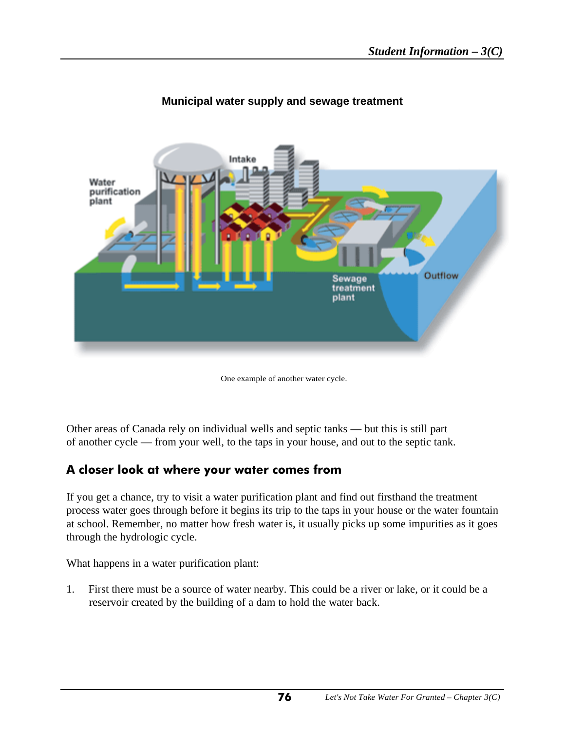

### **Municipal water supply and sewage treatment**

One example of another water cycle.

Other areas of Canada rely on individual wells and septic tanks — but this is still part of another cycle — from your well, to the taps in your house, and out to the septic tank.

## **A closer look at where your water comes from**

If you get a chance, try to visit a water purification plant and find out firsthand the treatment process water goes through before it begins its trip to the taps in your house or the water fountain at school. Remember, no matter how fresh water is, it usually picks up some impurities as it goes through the hydrologic cycle.

What happens in a water purification plant:

1. First there must be a source of water nearby. This could be a river or lake, or it could be a reservoir created by the building of a dam to hold the water back.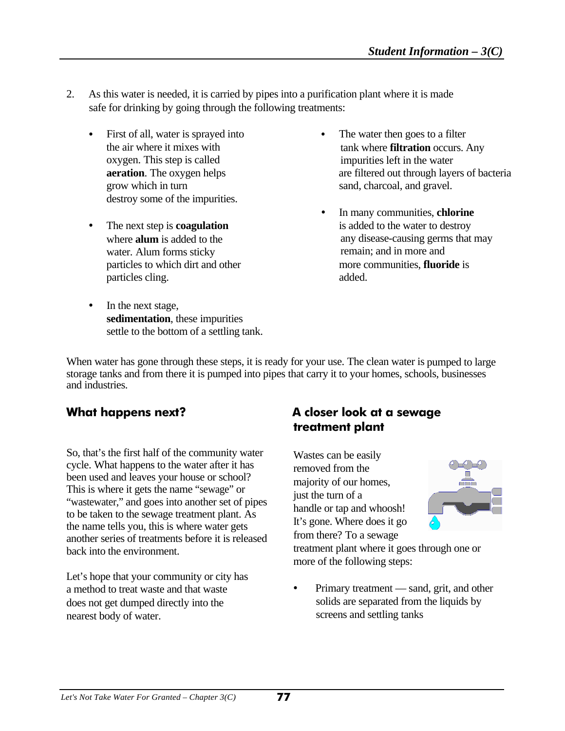- 2. As this water is needed, it is carried by pipes into a purification plant where it is made safe for drinking by going through the following treatments:
	- First of all, water is sprayed into The water then goes to a filter the air where it mixes with oxygen. This step is called grow which in turn sand, charcoal, and gravel. destroy some of the impurities.
	- where **alum** is added to the water. Alum forms sticky particles cling.  $\qquad \qquad \text{added.}$
	- In the next stage, **sedimentation**, these impurities settle to the bottom of a settling tank.
- tank where **filtration** occurs. Any impurities left in the water **aeration**. The oxygen helps are filtered out through layers of bacteria
- In many communities, **chlorine** • The next step is **coagulation** is added to the water to destroy any disease-causing germs that may remain; and in more and particles to which dirt and other more communities, **fluoride** is

When water has gone through these steps, it is ready for your use. The clean water is pumped to large storage tanks and from there it is pumped into pipes that carry it to your homes, schools, businesses and industries.

So, that's the first half of the community water cycle. What happens to the water after it has been used and leaves your house or school? This is where it gets the name "sewage" or "wastewater," and goes into another set of pipes to be taken to the sewage treatment plant. As the name tells you, this is where water gets another series of treatments before it is released back into the environment.

Let's hope that your community or city has a method to treat waste and that waste does not get dumped directly into the nearest body of water.

## **What happens next? A closer look at a sewage treatment plant**

Wastes can be easily removed from the majority of our homes, just the turn of a handle or tap and whoosh! It's gone. Where does it go from there? To a sewage



treatment plant where it goes through one or more of the following steps:

Primary treatment — sand, grit, and other solids are separated from the liquids by screens and settling tanks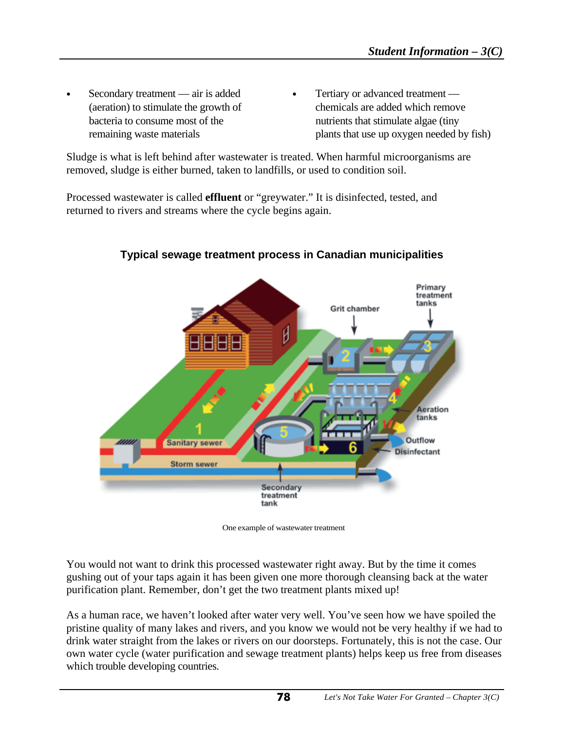- 
- Secondary treatment air is added Tertiary or advanced treatment (aeration) to stimulate the growth of chemicals are added which remove bacteria to consume most of the nutrients that stimulate algae (tiny remaining waste materials plants that use up oxygen needed by fish)

Sludge is what is left behind after wastewater is treated. When harmful microorganisms are removed, sludge is either burned, taken to landfills, or used to condition soil.

Processed wastewater is called **effluent** or "greywater." It is disinfected, tested, and returned to rivers and streams where the cycle begins again.



**Typical sewage treatment process in Canadian municipalities**

One example of wastewater treatment

You would not want to drink this processed wastewater right away. But by the time it comes gushing out of your taps again it has been given one more thorough cleansing back at the water purification plant. Remember, don't get the two treatment plants mixed up!

As a human race, we haven't looked after water very well. You've seen how we have spoiled the pristine quality of many lakes and rivers, and you know we would not be very healthy if we had to drink water straight from the lakes or rivers on our doorsteps. Fortunately, this is not the case. Our own water cycle (water purification and sewage treatment plants) helps keep us free from diseases which trouble developing countries.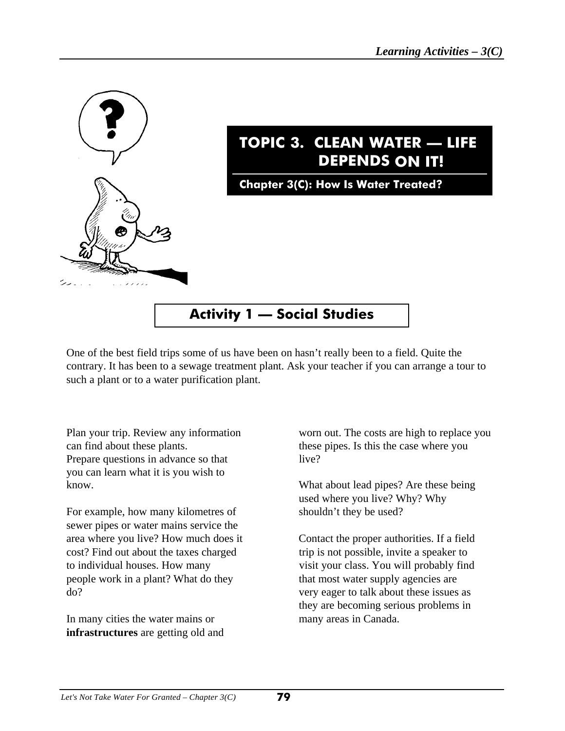

One of the best field trips some of us have been on hasn't really been to a field. Quite the contrary. It has been to a sewage treatment plant. Ask your teacher if you can arrange a tour to such a plant or to a water purification plant.

can find about these plants. these pipes. Is this the case where you Prepare questions in advance so that live? you can learn what it is you wish to

For example, how many kilometres of shouldn't they be used? sewer pipes or water mains service the area where you live? How much does it Contact the proper authorities. If a field cost? Find out about the taxes charged trip is not possible, invite a speaker to to individual houses. How many visit your class. You will probably find people work in a plant? What do they that most water supply agencies are do? very eager to talk about these issues as

In many cities the water mains or many areas in Canada. **infrastructures** are getting old and

Plan your trip. Review any information worn out. The costs are high to replace you

know. What about lead pipes? Are these being used where you live? Why? Why

they are becoming serious problems in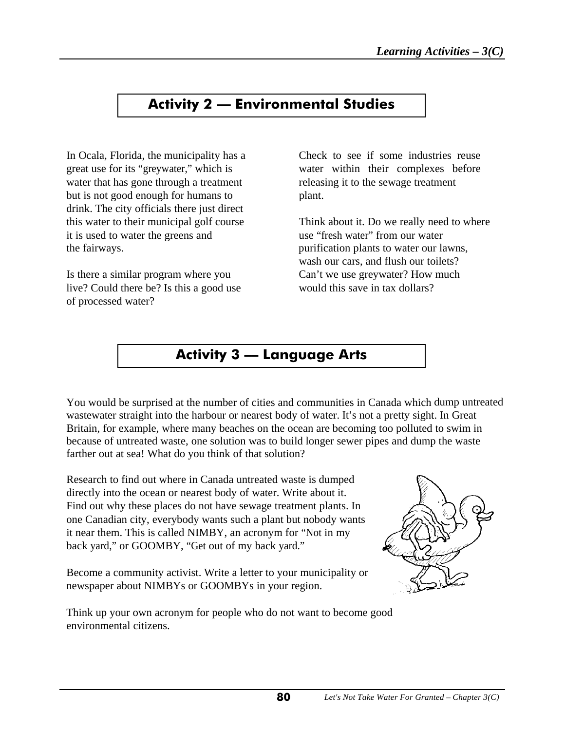## **Activity 2 — Environmental Studies**

In Ocala, Florida, the municipality has a Check to see if some industries reuse great use for its "greywater," which is water within their complexes before water that has gone through a treatment releasing it to the sewage treatment but is not good enough for humans to plant. drink. The city officials there just direct it is used to water the greens and use "fresh water" from our water the fairways. purification plants to water our lawns,

Is there a similar program where you Can't we use greywater? How much live? Could there be? Is this a good use would this save in tax dollars? of processed water?

this water to their municipal golf course Think about it. Do we really need to where wash our cars, and flush our toilets?

## **Activity 3 –– Language Arts**

You would be surprised at the number of cities and communities in Canada which dump untreated wastewater straight into the harbour or nearest body of water. It's not a pretty sight. In Great Britain, for example, where many beaches on the ocean are becoming too polluted to swim in because of untreated waste, one solution was to build longer sewer pipes and dump the waste farther out at sea! What do you think of that solution?

Research to find out where in Canada untreated waste is dumped directly into the ocean or nearest body of water. Write about it. Find out why these places do not have sewage treatment plants. In one Canadian city, everybody wants such a plant but nobody wants it near them. This is called NIMBY, an acronym for "Not in my back yard," or GOOMBY, "Get out of my back yard."

Become a community activist. Write a letter to your municipality or newspaper about NIMBYs or GOOMBYs in your region.



Think up your own acronym for people who do not want to become good environmental citizens.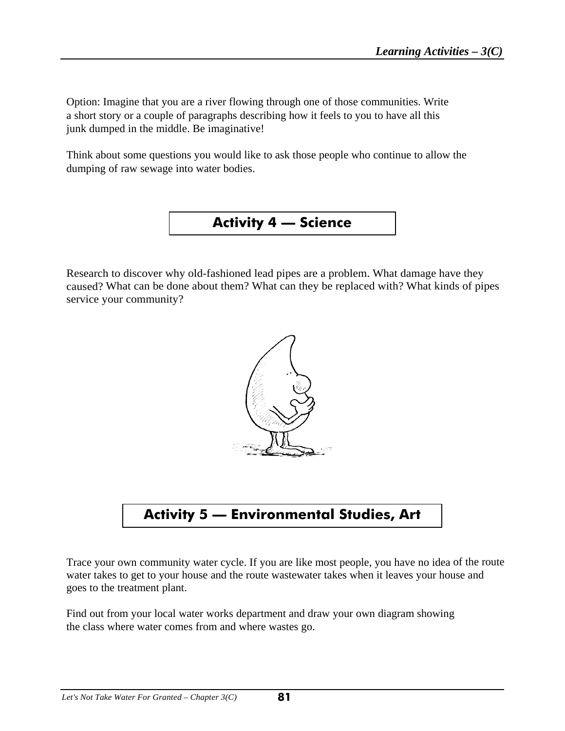Option: Imagine that you are a river flowing through one of those communities. Write a short story or a couple of paragraphs describing how it feels to you to have all this junk dumped in the middle. Be imaginative!

Think about some questions you would like to ask those people who continue to allow the dumping of raw sewage into water bodies.



Research to discover why old-fashioned lead pipes are a problem. What damage have they caused? What can be done about them? What can they be replaced with? What kinds of pipes service your community?



**Activity 5 — Environmental Studies, Art**

Trace your own community water cycle. If you are like most people, you have no idea of the route water takes to get to your house and the route wastewater takes when it leaves your house and goes to the treatment plant.

Find out from your local water works department and draw your own diagram showing the class where water comes from and where wastes go.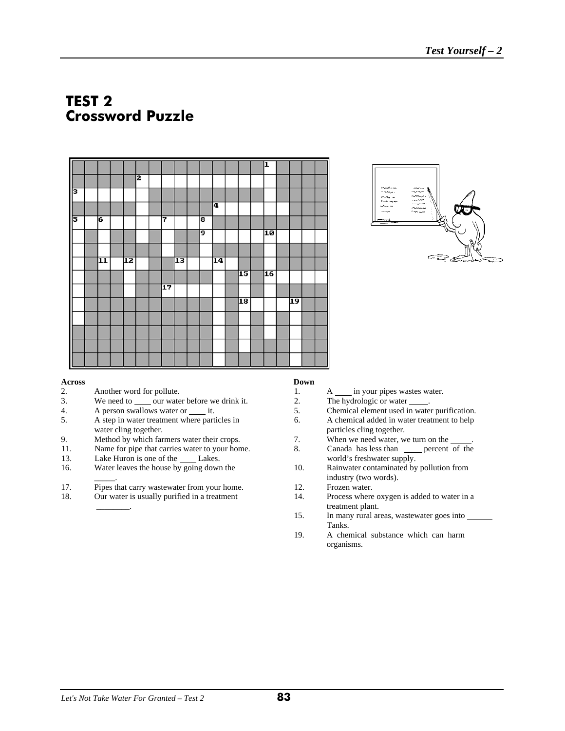## **TEST 2 Crossword Puzzle**





#### **Across Down**

- 2. Another word for pollute.<br>3. We need to our water.
- We need to our water before we drink it.
- 4. A person swallows water or <u>it</u>.
- 5. A step in water treatment where particles in water cling together.<br>9. Method by which far
- Method by which farmers water their crops.
- 11. Name for pipe that carries water to your home.
- 13. Lake Huron is one of the *Lakes*.
- 16. Water leaves the house by going down the 10. Rainwater contaminated by pollution from
- 
- 17. Pipes that carry wastewater from your home. 12. Frozen water.<br>18. Our water is usually purified in a treatment 14. Process where

| 1.             | A in your pipes wastes water.                |
|----------------|----------------------------------------------|
| 2.             | The hydrologic or water .                    |
| 5.             | Chemical element used in water purification. |
| 6.             | A chemical added in water treatment to help  |
|                | particles cling together.                    |
| 7.             | When we need water, we turn on the           |
| 8.             | Canada has less than percent of the          |
|                | world's freshwater supply.                   |
| 1 <sub>0</sub> | Doinwater contaminated by pollution from     |

- industry (two words).
- 
- 18. Our water is usually purified in a treatment 14. Process where oxygen is added to water in a treatment plant.<br>
15. In many rural area
	- In many rural areas, wastewater goes into Tanks.
	- 19. A chemical substance which can harm organisms.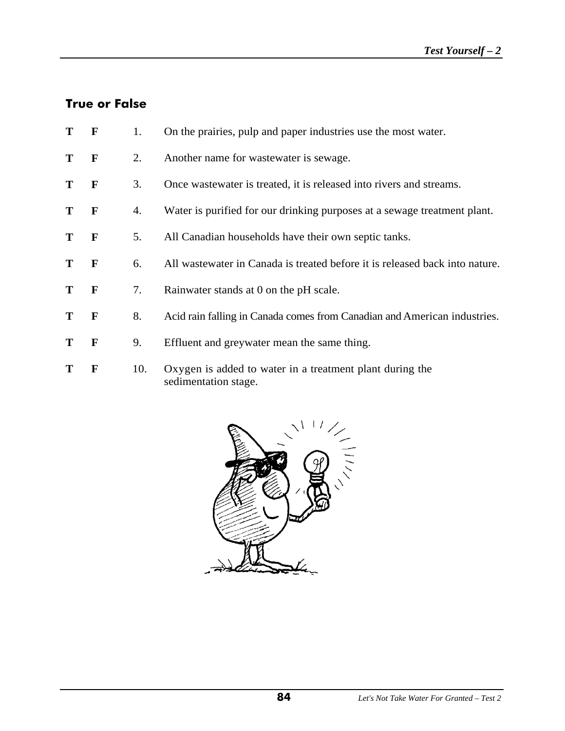#### **True or False**

- **T F** 1. On the prairies, pulp and paper industries use the most water.
- **T F** 2. Another name for wastewater is sewage.
- **T F** 3. Once wastewater is treated, it is released into rivers and streams.
- **T F** 4. Water is purified for our drinking purposes at a sewage treatment plant.
- **T F** 5. All Canadian households have their own septic tanks.
- **T F** 6. All wastewater in Canada is treated before it is released back into nature.
- **T F** 7. Rainwater stands at 0 on the pH scale.
- **T F** 8. Acid rain falling in Canada comes from Canadian and American industries.
- **T F** 9. Effluent and greywater mean the same thing.
- **T F** 10. Oxygen is added to water in a treatment plant during the sedimentation stage.

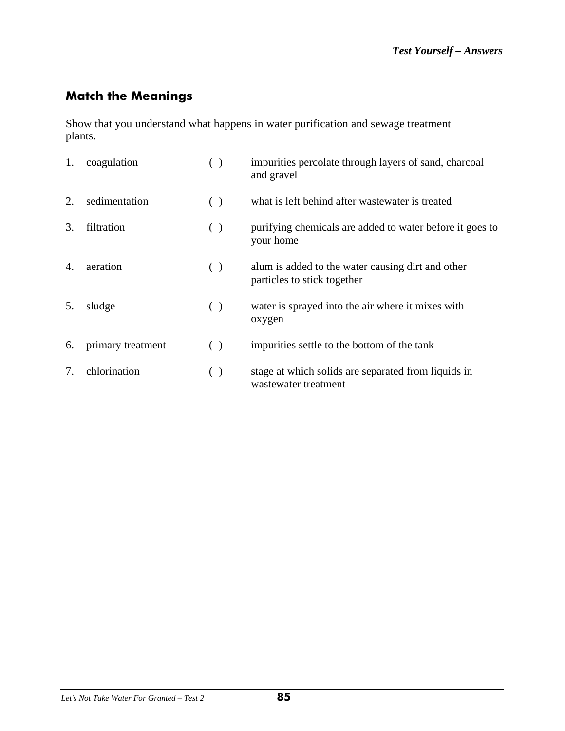## **Match the Meanings**

Show that you understand what happens in water purification and sewage treatment plants.

| 1. | coagulation       | ( )   | impurities percolate through layers of sand, charcoal<br>and gravel              |
|----|-------------------|-------|----------------------------------------------------------------------------------|
| 2. | sedimentation     | ( )   | what is left behind after wastewater is treated                                  |
| 3. | filtration        | ( )   | purifying chemicals are added to water before it goes to<br>your home            |
| 4. | aeration          | ( )   | alum is added to the water causing dirt and other<br>particles to stick together |
| 5. | sludge            | ( )   | water is sprayed into the air where it mixes with<br>oxygen                      |
| 6. | primary treatment | ( )   | impurities settle to the bottom of the tank                                      |
| 7. | chlorination      | $($ ) | stage at which solids are separated from liquids in<br>wastewater treatment      |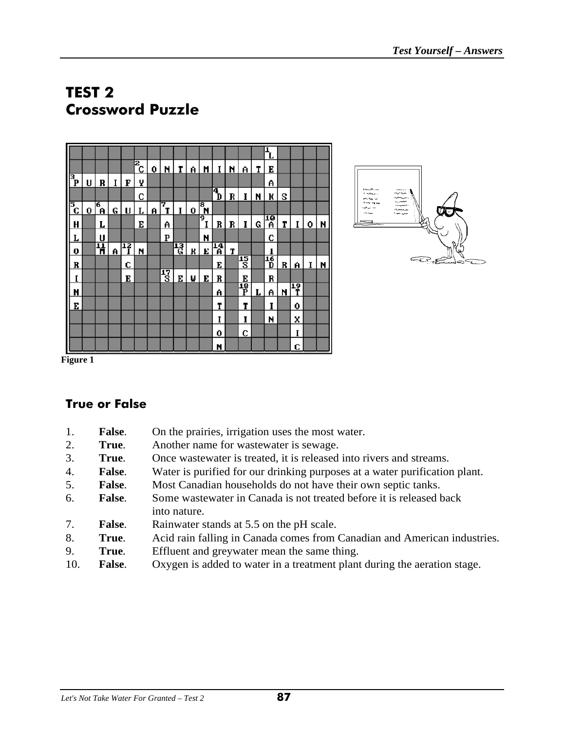# **TEST 2 Crossword Puzzle**





**Figure 1** 

## **True or False**

- 1. **False**. On the prairies, irrigation uses the most water.
- 2. **True**. Another name for wastewater is sewage.
- 3. **True**. Once wastewater is treated, it is released into rivers and streams.
- 4. **False**. Water is purified for our drinking purposes at a water purification plant.
- 5. **False**. Most Canadian households do not have their own septic tanks.
- 6. **False**. Some wastewater in Canada is not treated before it is released back into nature.
- 7. **False**. Rainwater stands at 5.5 on the pH scale.
- 8. **True**. Acid rain falling in Canada comes from Canadian and American industries.
- 9. **True**. Effluent and greywater mean the same thing.
- 10. **False**. Oxygen is added to water in a treatment plant during the aeration stage.